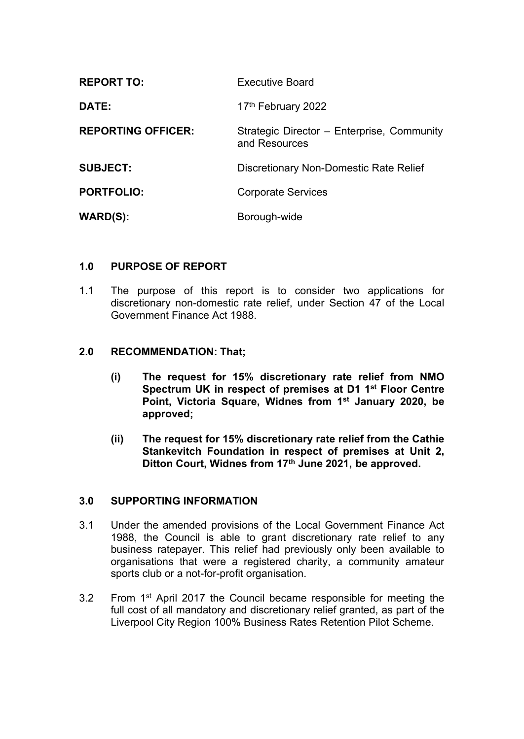| <b>REPORT TO:</b>         | <b>Executive Board</b>                                      |
|---------------------------|-------------------------------------------------------------|
| DATE:                     | 17th February 2022                                          |
| <b>REPORTING OFFICER:</b> | Strategic Director – Enterprise, Community<br>and Resources |
| <b>SUBJECT:</b>           | Discretionary Non-Domestic Rate Relief                      |
| <b>PORTFOLIO:</b>         | <b>Corporate Services</b>                                   |
| <b>WARD(S):</b>           | Borough-wide                                                |

## **1.0 PURPOSE OF REPORT**

1.1 The purpose of this report is to consider two applications for discretionary non-domestic rate relief, under Section 47 of the Local Government Finance Act 1988.

## **2.0 RECOMMENDATION: That;**

- **(i) The request for 15% discretionary rate relief from NMO Spectrum UK in respect of premises at D1 1 st Floor Centre Point, Victoria Square, Widnes from 1 st January 2020, be approved;**
- **(ii) The request for 15% discretionary rate relief from the Cathie Stankevitch Foundation in respect of premises at Unit 2, Ditton Court, Widnes from 17th June 2021, be approved.**

## **3.0 SUPPORTING INFORMATION**

- 3.1 Under the amended provisions of the Local Government Finance Act 1988, the Council is able to grant discretionary rate relief to any business ratepayer. This relief had previously only been available to organisations that were a registered charity, a community amateur sports club or a not-for-profit organisation.
- 3.2 From 1<sup>st</sup> April 2017 the Council became responsible for meeting the full cost of all mandatory and discretionary relief granted, as part of the Liverpool City Region 100% Business Rates Retention Pilot Scheme.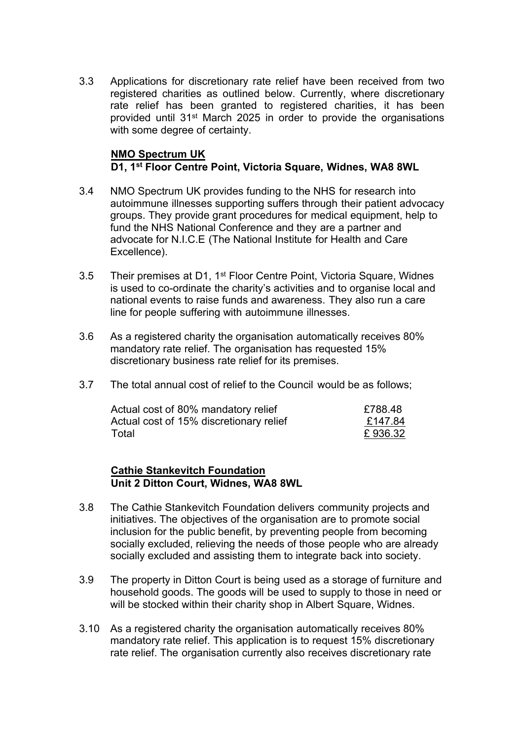3.3 Applications for discretionary rate relief have been received from two registered charities as outlined below. Currently, where discretionary rate relief has been granted to registered charities, it has been provided until 31st March 2025 in order to provide the organisations with some degree of certainty.

## **NMO Spectrum UK D1, 1 st Floor Centre Point, Victoria Square, Widnes, WA8 8WL**

- 3.4 NMO Spectrum UK provides funding to the NHS for research into autoimmune illnesses supporting suffers through their patient advocacy groups. They provide grant procedures for medical equipment, help to fund the NHS National Conference and they are a partner and advocate for N.I.C.E (The National Institute for Health and Care Excellence).
- 3.5 Their premises at D1, 1<sup>st</sup> Floor Centre Point, Victoria Square, Widnes is used to co-ordinate the charity's activities and to organise local and national events to raise funds and awareness. They also run a care line for people suffering with autoimmune illnesses.
- 3.6 As a registered charity the organisation automatically receives 80% mandatory rate relief. The organisation has requested 15% discretionary business rate relief for its premises.
- 3.7 The total annual cost of relief to the Council would be as follows;

| Actual cost of 80% mandatory relief     | £788.48 |
|-----------------------------------------|---------|
| Actual cost of 15% discretionary relief | £147.84 |
| Total                                   | £936.32 |

#### **Cathie Stankevitch Foundation Unit 2 Ditton Court, Widnes, WA8 8WL**

- 3.8 The Cathie Stankevitch Foundation delivers community projects and initiatives. The objectives of the organisation are to promote social inclusion for the public benefit, by preventing people from becoming socially excluded, relieving the needs of those people who are already socially excluded and assisting them to integrate back into society.
- 3.9 The property in Ditton Court is being used as a storage of furniture and household goods. The goods will be used to supply to those in need or will be stocked within their charity shop in Albert Square, Widnes.
- 3.10 As a registered charity the organisation automatically receives 80% mandatory rate relief. This application is to request 15% discretionary rate relief. The organisation currently also receives discretionary rate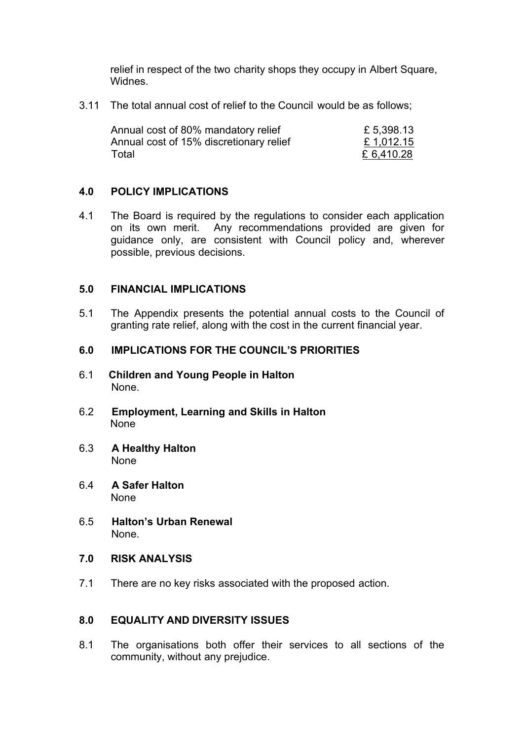relief in respect of the two charity shops they occupy in Albert Square, Widnes.

3.11 The total annual cost of relief to the Council would be as follows;

| Annual cost of 80% mandatory relief     | £ 5,398.13 |
|-----------------------------------------|------------|
| Annual cost of 15% discretionary relief | £1,012.15  |
| Total                                   | £ 6,410.28 |

#### **4.0 POLICY IMPLICATIONS**

4.1 The Board is required by the regulations to consider each application on its own merit. Any recommendations provided are given for guidance only, are consistent with Council policy and, wherever possible, previous decisions.

#### **5.0 FINANCIAL IMPLICATIONS**

5.1 The Appendix presents the potential annual costs to the Council of granting rate relief, along with the cost in the current financial year.

#### **6.0 IMPLICATIONS FOR THE COUNCIL'S PRIORITIES**

- 6.1 **Children and Young People in Halton** None.
- 6.2 **Employment, Learning and Skills in Halton**  None
- 6.3 **A Healthy Halton** None
- 6.4 **A Safer Halton** None
- 6.5 **Halton's Urban Renewal** None.
- **7.0 RISK ANALYSIS**
- 7.1 There are no key risks associated with the proposed action.

#### **8.0 EQUALITY AND DIVERSITY ISSUES**

8.1 The organisations both offer their services to all sections of the community, without any prejudice.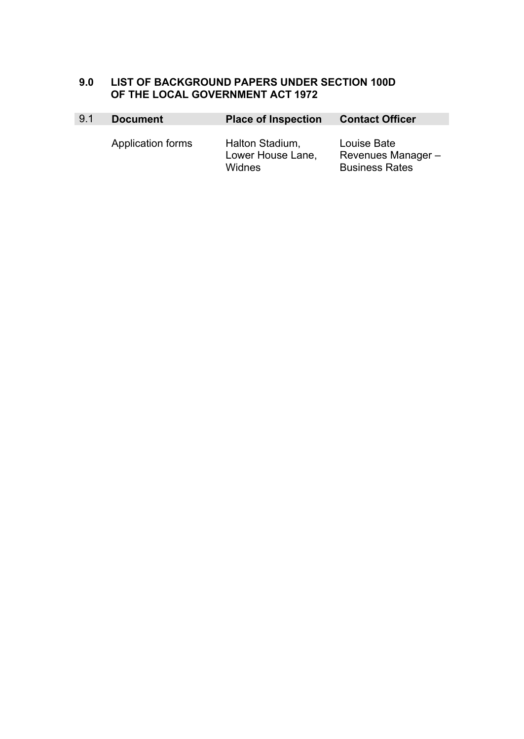# **9.0 LIST OF BACKGROUND PAPERS UNDER SECTION 100D OF THE LOCAL GOVERNMENT ACT 1972**

| 9.1 | <b>Document</b>   | <b>Place of Inspection</b>                     | <b>Contact Officer</b>                                    |  |  |
|-----|-------------------|------------------------------------------------|-----------------------------------------------------------|--|--|
|     | Application forms | Halton Stadium,<br>Lower House Lane,<br>Widnes | Louise Bate<br>Revenues Manager-<br><b>Business Rates</b> |  |  |